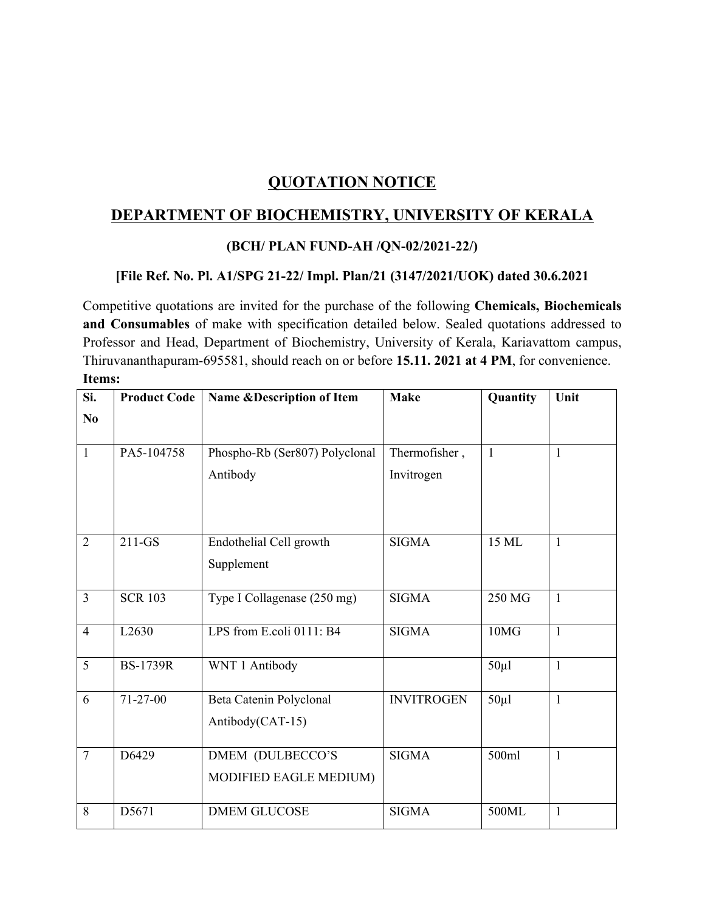## **QUOTATION NOTICE**

## **DEPARTMENT OF BIOCHEMISTRY, UNIVERSITY OF KERALA**

## **(BCH/ PLAN FUND-AH /QN-02/2021-22/)**

## **[File Ref. No. Pl. A1/SPG 21-22/ Impl. Plan/21 (3147/2021/UOK) dated 30.6.2021**

Competitive quotations are invited for the purchase of the following **Chemicals, Biochemicals and Consumables** of make with specification detailed below. Sealed quotations addressed to Professor and Head, Department of Biochemistry, University of Kerala, Kariavattom campus, Thiruvananthapuram-695581, should reach on or before **15.11. 2021 at 4 PM**, for convenience. **Items:**

| Si.                    | <b>Product Code</b> | Name & Description of Item                  | <b>Make</b>                 | Quantity     | Unit         |
|------------------------|---------------------|---------------------------------------------|-----------------------------|--------------|--------------|
| $\mathbf{N}\mathbf{0}$ |                     |                                             |                             |              |              |
| $\overline{1}$         | PA5-104758          | Phospho-Rb (Ser807) Polyclonal<br>Antibody  | Thermofisher,<br>Invitrogen | $\mathbf{1}$ | $\mathbf{1}$ |
| $\overline{2}$         | $211-GS$            | Endothelial Cell growth<br>Supplement       | <b>SIGMA</b>                | 15 ML        | 1            |
| $\overline{3}$         | <b>SCR 103</b>      | Type I Collagenase (250 mg)                 | <b>SIGMA</b>                | 250 MG       | $\mathbf{1}$ |
| $\overline{4}$         | L2630               | LPS from E.coli 0111: B4                    | <b>SIGMA</b>                | 10MG         | $\mathbf{1}$ |
| 5                      | <b>BS-1739R</b>     | WNT 1 Antibody                              |                             | $50 \mu l$   | $\mathbf{1}$ |
| 6                      | $71 - 27 - 00$      | Beta Catenin Polyclonal<br>Antibody(CAT-15) | <b>INVITROGEN</b>           | $50 \mu$ l   | $\mathbf{1}$ |
| $\overline{7}$         | D6429               | DMEM (DULBECCO'S<br>MODIFIED EAGLE MEDIUM)  | <b>SIGMA</b>                | 500ml        | $\mathbf{1}$ |
| 8                      | D5671               | <b>DMEM GLUCOSE</b>                         | <b>SIGMA</b>                | 500ML        | $\mathbf{1}$ |